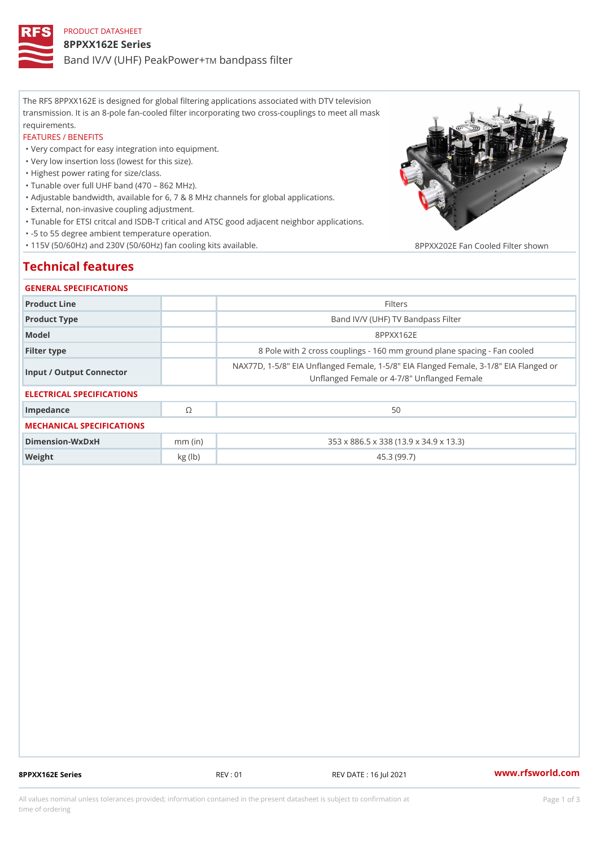# PRODUCT DATASHEET 8PPXX162E Series Band IV/V (UHF) PeakPowerass filter

The RFS 8PPXX162E is designed for global filtering applications associated with DTV television transmission. It is an 8-pole fan-cooled filter incorporating two cross-couplings to meet all mask requirements.

#### FEATURES / BENEFITS

"Very compact for easy integration into equipment.

"Very low insertion loss (lowest for this size).

"Highest power rating for size/class.

"Tunable over full UHF band (470 862 MHz).

"Adjustable bandwidth, available for 6, 7 & 8 MHz channels for global applications.

"External, non-invasive coupling adjustment.

"Tunable for ETSI critcal and ISDB-T critical and ATSC good adjacent neighbor applications.

"-5 to 55 degree ambient temperature operation.

"115V (50/60Hz) and 230V (50/60Hz) fan cooling kits available. 8PPXX202E Fan Cooled Filter show

## Technical features

### GENERAL SPECIFICATIONS

| Product Line              |            | Filters                                                                                                     |
|---------------------------|------------|-------------------------------------------------------------------------------------------------------------|
| Product Type              |            | Band IV/V (UHF) TV Bandpass Filter                                                                          |
| Model                     |            | 8 P P X X 1 6 2 E                                                                                           |
| Filter type               |            | 8 Pole with 2 cross couplings - 160 mm ground plane spaci                                                   |
| Input / Output Connector  |            | NAX77D, 1-5/8" EIA Unflanged Female, 1-5/8" EIA Flanged Fema<br>Unflanged Female or 4-7/8" Unflanged Female |
| ELECTRICAL SPECIFICATIONS |            |                                                                                                             |
| Impedance                 | $^{\circ}$ | 50                                                                                                          |
| MECHANICAL SPECIFICATIONS |            |                                                                                                             |
| Dimension-WxDxH           | $mm$ (in)  | 353 x 886.5 x 338 (13.9 x 34.9 x 13.3)                                                                      |
| Weight                    | kg (lb)    | 45.3 (99.7)                                                                                                 |
|                           |            |                                                                                                             |

8PPXX162E Series REV : 01 REV DATE : 16 Jul 2021 [www.](https://www.rfsworld.com)rfsworld.com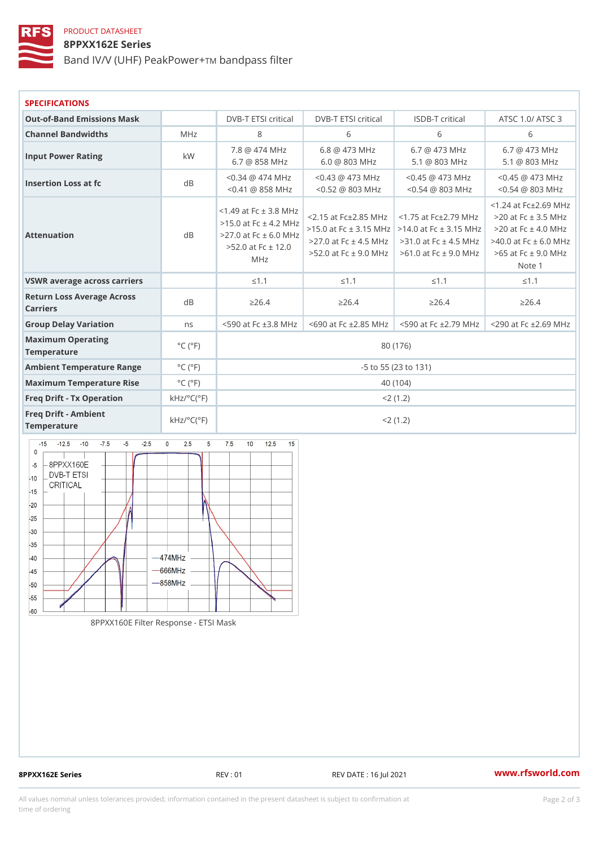### PRODUCT DATASHEET

### 8PPXX162E Series

Band IV/V (UHF) PeakDaowhpass filter

| <b>SPECIFICATIONS</b>                                |                                      |                                                                                                                 |                                                                                                                        |             |                                                                                                                                                                           |  |
|------------------------------------------------------|--------------------------------------|-----------------------------------------------------------------------------------------------------------------|------------------------------------------------------------------------------------------------------------------------|-------------|---------------------------------------------------------------------------------------------------------------------------------------------------------------------------|--|
| Out-of-Band Emissions Mask                           |                                      |                                                                                                                 | DVB-T ETSI dritDoVaB-T ETSI criticlaSIDB-T criticalATSC 1.0/ATSC                                                       |             |                                                                                                                                                                           |  |
| Channel Bandwidths<br>MHz                            |                                      | 8<br>6                                                                                                          |                                                                                                                        | 6           | 6                                                                                                                                                                         |  |
| Input Power Rating                                   | k W                                  |                                                                                                                 | 7.8 @ 474 MHz 6.8 @ 473 MHz 6.7 @ 473 MHz 6.7 @ 473 MHz<br>6.7 @ 858 MHz 6.0 @ 803 MHz 5.1 @ 803 MHz 5.1 @ 803 MHz     |             |                                                                                                                                                                           |  |
| Insertion Loss at fc                                 | $d \, B$                             |                                                                                                                 | <0.34 @ 474 MHz0.43 @ 473 MHz0.45 @ 473 MHz0.45 @ 473 MHz<br><0.41 @ 858 MHz0.52 @ 803 MHz0.54 @ 803 MHz0.54 @ 803 MHz |             |                                                                                                                                                                           |  |
| Attenuation                                          | $d \, B$                             | $<$ 1.49 at Fc $\pm$ 3.8 MHz<br>$>15.0$ at Fc $\pm$<br>$> 27.0$ at Fc $\pm$ 6.0<br>$>52.0$ at Fc $\pm$ 1<br>MHz |                                                                                                                        |             | $< 1.24$ at $Fc \pm 2.69$ M<br>>2 7.0 at Fc ± 4.53MM H0zat Fc ± 4.54MM H0zat Fc ± 6.0 M<br>2.0<br>12.0<br>>52.0 at Fc ± 9.96MHDz at Fc ± 9.0-6M5Hat Fc ± 9.0 MI<br>Note 1 |  |
| VSWR average across carriers                         |                                      | "d1.1"                                                                                                          | " $d$ 1.1                                                                                                              | "d1.1       | "d1.1"                                                                                                                                                                    |  |
| Return Loss Average Across<br>Carriers               |                                      | "e 2 6.4"                                                                                                       | "e 2 6.4"                                                                                                              | "e 2 6.4"   | "e 2 6.4"                                                                                                                                                                 |  |
| Group Delay Variation                                | n <sub>s</sub>                       |                                                                                                                 | <590 at Fc ±3.& 6/9HDz at Fc ±2.855N9Hdzat Fc ±2.79x2N9Hdzat Fc ±2.69 M                                                |             |                                                                                                                                                                           |  |
| Maximum Operating<br>Temperature                     | $^{\circ}$ C ( $^{\circ}$ F          | 80 (176)                                                                                                        |                                                                                                                        |             |                                                                                                                                                                           |  |
| Ambient Temperature RangeC (°F                       |                                      |                                                                                                                 |                                                                                                                        |             |                                                                                                                                                                           |  |
| Maximum Temperature Rise C (°F                       |                                      | 40 (104)                                                                                                        |                                                                                                                        |             |                                                                                                                                                                           |  |
| Freq Drift - Tx Operation $kHz/^{\circ}C(^{\circ}F)$ |                                      | $< 2$ (1.2)                                                                                                     |                                                                                                                        |             |                                                                                                                                                                           |  |
| Freg Drift - Ambient<br>Temperature                  | $k$ H z / $\degree$ C ( $\degree$ F) |                                                                                                                 |                                                                                                                        | $< 2$ (1.2) |                                                                                                                                                                           |  |

8PPXX160E Filter Response - ETSI Mask

8PPXX162E Series REV : 01 REV DATE : 16 Jul 2021 [www.](https://www.rfsworld.com)rfsworld.com